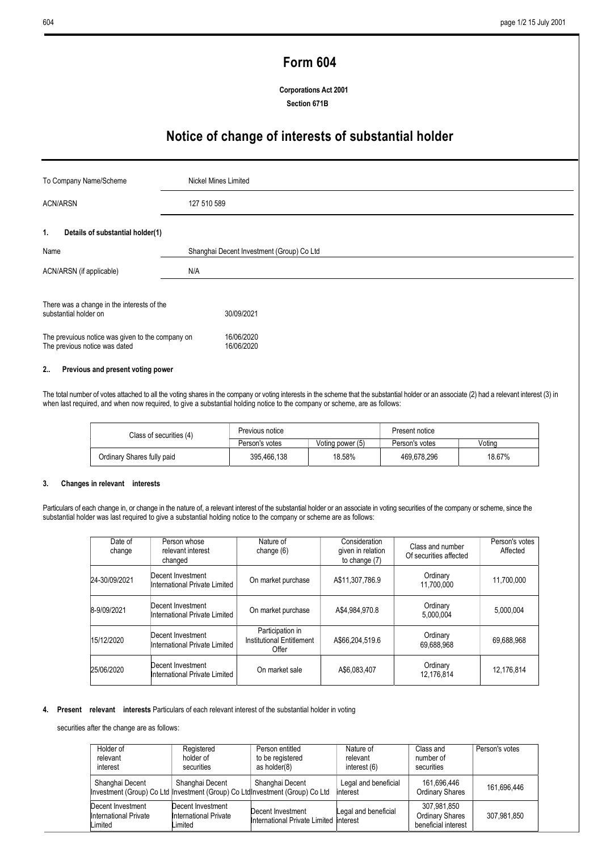# Form 604

Corporations Act 2001 Section 671B

# Notice of change of interests of substantial holder

| To Company Name/Scheme                                                            | Nickel Mines Limited                      |
|-----------------------------------------------------------------------------------|-------------------------------------------|
| <b>ACN/ARSN</b>                                                                   | 127 510 589                               |
| Details of substantial holder(1)<br>1.                                            |                                           |
| Name                                                                              | Shanghai Decent Investment (Group) Co Ltd |
| ACN/ARSN (if applicable)                                                          | N/A                                       |
| There was a change in the interests of the<br>substantial holder on               | 30/09/2021                                |
| The prevuious notice was given to the company on<br>The previous notice was dated | 16/06/2020<br>16/06/2020                  |

# 2.. Previous and present voting power

The total number of votes attached to all the voting shares in the company or voting interests in the scheme that the substantial holder or an associate (2) had a relevant interest (3) in when last required, and when now required, to give a substantial holding notice to the company or scheme, are as follows:

| Class of securities (4) | Previous notice            |                | Present notice   |                |        |
|-------------------------|----------------------------|----------------|------------------|----------------|--------|
|                         |                            | Person's votes | Voting power (5) | Person's votes | Votina |
|                         | Ordinary Shares fully paid | 395.466.138    | 18.58%           | 469.678.296    | 18.67% |

### 3. Changes in relevant interests

Particulars of each change in, or change in the nature of, a relevant interest of the substantial holder or an associate in voting securities of the company or scheme, since the substantial holder was last required to give a substantial holding notice to the company or scheme are as follows:

| Date of<br>change | Person whose<br>relevant interest<br>changed       | Nature of<br>change $(6)$                              | Consideration<br>given in relation<br>to change (7) | Class and number<br>Of securities affected | Person's votes<br>Affected |
|-------------------|----------------------------------------------------|--------------------------------------------------------|-----------------------------------------------------|--------------------------------------------|----------------------------|
| 24-30/09/2021     | Decent Investment<br>International Private Limited | On market purchase                                     | A\$11,307,786.9                                     | Ordinary<br>11,700,000                     | 11,700,000                 |
| 8-9/09/2021       | Decent Investment<br>International Private Limited | On market purchase                                     | A\$4.984.970.8                                      | Ordinary<br>5.000.004                      | 5,000,004                  |
| 15/12/2020        | Decent Investment<br>International Private Limited | Participation in<br>Institutional Entitlement<br>Offer | A\$66,204,519.6                                     | Ordinary<br>69,688,968                     | 69,688,968                 |
| 25/06/2020        | Decent Investment<br>International Private Limited | On market sale                                         | A\$6,083,407                                        | Ordinary<br>12,176,814                     | 12,176,814                 |

#### 4. Present relevant interests Particulars of each relevant interest of the substantial holder in voting

securities after the change are as follows:

| Holder of<br>relevant<br>interest                                                               | Registered<br>holder of<br>securities                 | Person entitled<br>to be registered<br>as holder(8)         | Nature of<br>relevant<br>interest (6) | Class and<br>number of<br>securities                         | Person's votes |
|-------------------------------------------------------------------------------------------------|-------------------------------------------------------|-------------------------------------------------------------|---------------------------------------|--------------------------------------------------------------|----------------|
| Shanghai Decent<br>Investment (Group) Co Ltd Investment (Group) Co LtdInvestment (Group) Co Ltd | Shanghai Decent                                       | Shanghai Decent                                             | Legal and beneficial<br>interest      | 161.696.446<br><b>Ordinary Shares</b>                        | 161.696.446    |
| Decent Investment<br>International Private<br>Limited                                           | Decent Investment<br>International Private<br>_imited | Decent Investment<br>International Private Limited Interest | Legal and beneficial                  | 307.981.850<br><b>Ordinary Shares</b><br>beneficial interest | 307.981.850    |